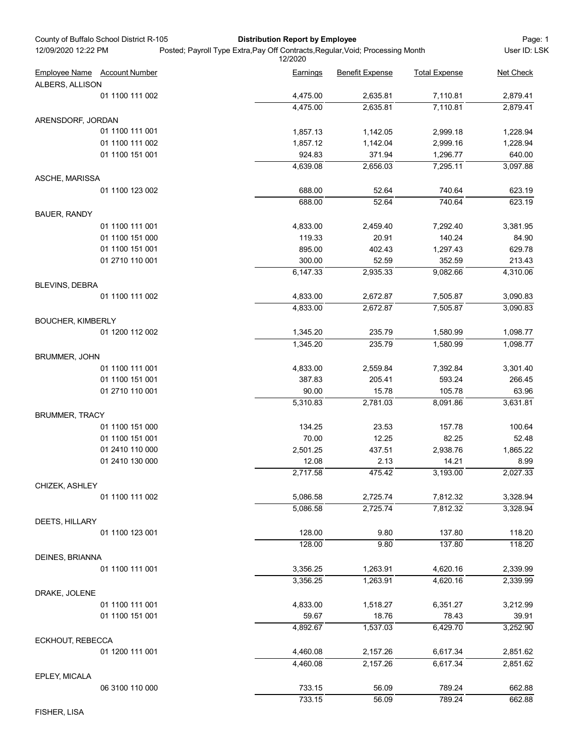| County of Buffalo School District R-105<br>12/09/2020 12:22 PM | <b>Distribution Report by Employee</b><br>Posted; Payroll Type Extra, Pay Off Contracts, Regular, Void; Processing Month |                        |                      | Page: 1<br>User ID: LSK |  |
|----------------------------------------------------------------|--------------------------------------------------------------------------------------------------------------------------|------------------------|----------------------|-------------------------|--|
|                                                                | 12/2020                                                                                                                  |                        |                      |                         |  |
| Employee Name Account Number                                   | Earnings                                                                                                                 | <b>Benefit Expense</b> | <b>Total Expense</b> | Net Check               |  |
| ALBERS, ALLISON<br>01 1100 111 002                             | 4,475.00                                                                                                                 | 2,635.81               | 7,110.81             | 2,879.41                |  |
|                                                                | 4,475.00                                                                                                                 | 2,635.81               | 7,110.81             | 2,879.41                |  |
| ARENSDORF, JORDAN                                              |                                                                                                                          |                        |                      |                         |  |
| 01 1100 111 001                                                | 1,857.13                                                                                                                 | 1,142.05               | 2,999.18             | 1,228.94                |  |
| 01 1100 111 002                                                | 1,857.12                                                                                                                 | 1,142.04               | 2,999.16             | 1,228.94                |  |
| 01 1100 151 001                                                | 924.83<br>4,639.08                                                                                                       | 371.94<br>2,656.03     | 1,296.77<br>7,295.11 | 640.00<br>3,097.88      |  |
| ASCHE, MARISSA                                                 |                                                                                                                          |                        |                      |                         |  |
| 01 1100 123 002                                                | 688.00                                                                                                                   | 52.64                  | 740.64               | 623.19                  |  |
|                                                                | 688.00                                                                                                                   | 52.64                  | 740.64               | 623.19                  |  |
| <b>BAUER, RANDY</b>                                            |                                                                                                                          |                        |                      |                         |  |
| 01 1100 111 001                                                | 4,833.00                                                                                                                 | 2,459.40               | 7,292.40             | 3,381.95                |  |
| 01 1100 151 000<br>01 1100 151 001                             | 119.33<br>895.00                                                                                                         | 20.91<br>402.43        | 140.24<br>1,297.43   | 84.90<br>629.78         |  |
| 01 2710 110 001                                                | 300.00                                                                                                                   | 52.59                  | 352.59               | 213.43                  |  |
|                                                                | 6,147.33                                                                                                                 | 2,935.33               | 9,082.66             | 4,310.06                |  |
| BLEVINS, DEBRA                                                 |                                                                                                                          |                        |                      |                         |  |
| 01 1100 111 002                                                | 4,833.00                                                                                                                 | 2,672.87               | 7,505.87             | 3,090.83                |  |
|                                                                | 4,833.00                                                                                                                 | 2,672.87               | 7,505.87             | 3,090.83                |  |
| <b>BOUCHER, KIMBERLY</b>                                       |                                                                                                                          |                        |                      |                         |  |
| 01 1200 112 002                                                | 1,345.20<br>1,345.20                                                                                                     | 235.79<br>235.79       | 1,580.99<br>1,580.99 | 1,098.77<br>1,098.77    |  |
| <b>BRUMMER, JOHN</b>                                           |                                                                                                                          |                        |                      |                         |  |
| 01 1100 111 001                                                | 4,833.00                                                                                                                 | 2,559.84               | 7,392.84             | 3,301.40                |  |
| 01 1100 151 001                                                | 387.83                                                                                                                   | 205.41                 | 593.24               | 266.45                  |  |
| 01 2710 110 001                                                | 90.00                                                                                                                    | 15.78                  | 105.78               | 63.96                   |  |
|                                                                | 5,310.83                                                                                                                 | $\overline{2,}781.03$  | 8,091.86             | 3,631.81                |  |
| <b>BRUMMER, TRACY</b>                                          |                                                                                                                          |                        |                      |                         |  |
| 01 1100 151 000<br>01 1100 151 001                             | 134.25<br>70.00                                                                                                          | 23.53<br>12.25         | 157.78<br>82.25      | 100.64<br>52.48         |  |
| 01 2410 110 000                                                | 2,501.25                                                                                                                 | 437.51                 | 2,938.76             | 1,865.22                |  |
| 01 2410 130 000                                                | 12.08                                                                                                                    | 2.13                   | 14.21                | 8.99                    |  |
|                                                                | 2,717.58                                                                                                                 | 475.42                 | 3,193.00             | 2,027.33                |  |
| CHIZEK, ASHLEY                                                 |                                                                                                                          |                        |                      |                         |  |
| 01 1100 111 002                                                | 5,086.58                                                                                                                 | 2,725.74               | 7,812.32             | 3,328.94                |  |
|                                                                | 5,086.58                                                                                                                 | 2,725.74               | 7,812.32             | 3,328.94                |  |
| DEETS, HILLARY<br>01 1100 123 001                              | 128.00                                                                                                                   | 9.80                   | 137.80               | 118.20                  |  |
|                                                                | 128.00                                                                                                                   | 9.80                   | 137.80               | 118.20                  |  |
| DEINES, BRIANNA                                                |                                                                                                                          |                        |                      |                         |  |
| 01 1100 111 001                                                | 3,356.25                                                                                                                 | 1,263.91               | 4,620.16             | 2,339.99                |  |
|                                                                | 3,356.25                                                                                                                 | 1,263.91               | 4,620.16             | 2,339.99                |  |
| DRAKE, JOLENE                                                  |                                                                                                                          |                        |                      |                         |  |
| 01 1100 111 001                                                | 4,833.00                                                                                                                 | 1,518.27               | 6,351.27             | 3,212.99                |  |
| 01 1100 151 001                                                | 59.67                                                                                                                    | 18.76                  | 78.43                | 39.91                   |  |
|                                                                | 4,892.67                                                                                                                 | 1,537.03               | 6,429.70             | 3,252.90                |  |
| ECKHOUT, REBECCA<br>01 1200 111 001                            | 4,460.08                                                                                                                 | 2,157.26               | 6,617.34             | 2,851.62                |  |
|                                                                | 4,460.08                                                                                                                 | 2,157.26               | 6,617.34             | 2,851.62                |  |
| EPLEY, MICALA                                                  |                                                                                                                          |                        |                      |                         |  |
| 06 3100 110 000                                                | 733.15                                                                                                                   | 56.09                  | 789.24               | 662.88                  |  |
|                                                                | 733.15                                                                                                                   | 56.09                  | 789.24               | 662.88                  |  |

FISHER, LISA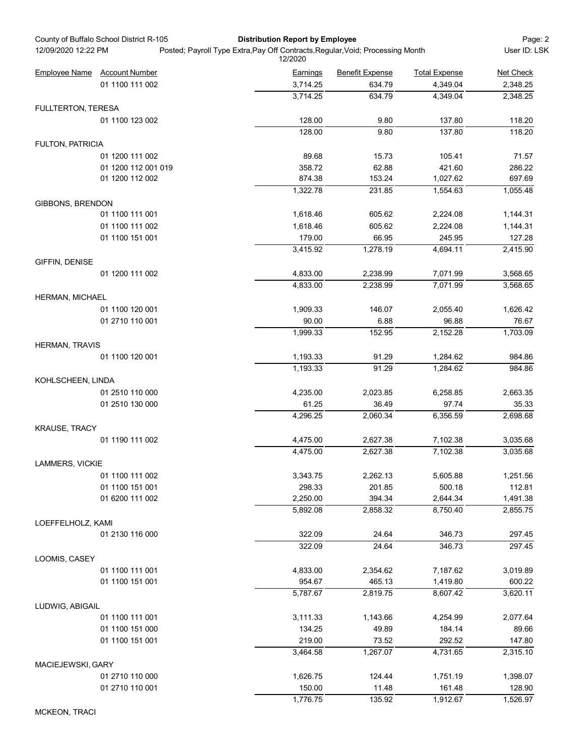|                         | County of Buffalo School District R-105 | <b>Distribution Report by Employee</b>                                                    |                                                |                      | Page: 2            |
|-------------------------|-----------------------------------------|-------------------------------------------------------------------------------------------|------------------------------------------------|----------------------|--------------------|
| 12/09/2020 12:22 PM     |                                         | Posted; Payroll Type Extra, Pay Off Contracts, Regular, Void; Processing Month<br>12/2020 |                                                |                      | User ID: LSK       |
| <b>Employee Name</b>    | <b>Account Number</b>                   | Earnings                                                                                  | <b>Benefit Expense</b><br><b>Total Expense</b> |                      | Net Check          |
|                         | 01 1100 111 002                         | 3,714.25                                                                                  | 634.79                                         | 4,349.04             | 2,348.25           |
|                         |                                         | 3,714.25                                                                                  | 634.79                                         | 4,349.04             | 2,348.25           |
| FULLTERTON, TERESA      |                                         |                                                                                           |                                                |                      |                    |
|                         | 01 1100 123 002                         | 128.00<br>128.00                                                                          | 9.80<br>9.80                                   | 137.80<br>137.80     | 118.20<br>118.20   |
| <b>FULTON, PATRICIA</b> |                                         |                                                                                           |                                                |                      |                    |
|                         | 01 1200 111 002                         | 89.68                                                                                     | 15.73                                          | 105.41               | 71.57              |
|                         | 01 1200 112 001 019                     | 358.72                                                                                    | 62.88                                          | 421.60               | 286.22             |
|                         | 01 1200 112 002                         | 874.38                                                                                    | 153.24                                         | 1,027.62             | 697.69             |
|                         |                                         | 1,322.78                                                                                  | 231.85                                         | 1,554.63             | 1,055.48           |
| GIBBONS, BRENDON        | 01 1100 111 001                         | 1,618.46                                                                                  | 605.62                                         | 2,224.08             | 1,144.31           |
|                         | 01 1100 111 002                         | 1,618.46                                                                                  | 605.62                                         | 2,224.08             | 1,144.31           |
|                         | 01 1100 151 001                         | 179.00                                                                                    | 66.95                                          | 245.95               | 127.28             |
|                         |                                         | 3,415.92                                                                                  | 1,278.19                                       | 4,694.11             | 2,415.90           |
| GIFFIN, DENISE          |                                         |                                                                                           |                                                |                      |                    |
|                         | 01 1200 111 002                         | 4,833.00                                                                                  | 2,238.99                                       | 7,071.99             | 3,568.65           |
|                         |                                         | 4,833.00                                                                                  | 2,238.99                                       | 7,071.99             | 3,568.65           |
| HERMAN, MICHAEL         | 01 1100 120 001                         | 1,909.33                                                                                  | 146.07                                         | 2,055.40             | 1,626.42           |
|                         | 01 2710 110 001                         | 90.00                                                                                     | 6.88                                           | 96.88                | 76.67              |
|                         |                                         | 1,999.33                                                                                  | 152.95                                         | 2,152.28             | 1,703.09           |
| HERMAN, TRAVIS          |                                         |                                                                                           |                                                |                      |                    |
|                         | 01 1100 120 001                         | 1,193.33                                                                                  | 91.29                                          | 1,284.62             | 984.86             |
|                         |                                         | 1,193.33                                                                                  | 91.29                                          | 1,284.62             | 984.86             |
| KOHLSCHEEN, LINDA       |                                         |                                                                                           |                                                |                      |                    |
|                         | 01 2510 110 000<br>01 2510 130 000      | 4,235.00<br>61.25                                                                         | 2,023.85<br>36.49                              | 6,258.85<br>97.74    | 2,663.35<br>35.33  |
|                         |                                         | 4,296.25                                                                                  | 2,060.34                                       | 6,356.59             | 2,698.68           |
| KRAUSE, TRACY           |                                         |                                                                                           |                                                |                      |                    |
|                         | 01 1190 111 002                         | 4,475.00                                                                                  | 2,627.38                                       | 7,102.38             | 3,035.68           |
|                         |                                         | 4,475.00                                                                                  | 2,627.38                                       | 7,102.38             | 3,035.68           |
| LAMMERS, VICKIE         |                                         |                                                                                           |                                                |                      |                    |
|                         | 01 1100 111 002                         | 3,343.75                                                                                  | 2,262.13                                       | 5,605.88             | 1,251.56           |
|                         | 01 1100 151 001<br>01 6200 111 002      | 298.33<br>2,250.00                                                                        | 201.85<br>394.34                               | 500.18<br>2,644.34   | 112.81<br>1,491.38 |
|                         |                                         | 5,892.08                                                                                  | 2,858.32                                       | 8,750.40             | 2,855.75           |
| LOEFFELHOLZ, KAMI       |                                         |                                                                                           |                                                |                      |                    |
|                         | 01 2130 116 000                         | 322.09                                                                                    | 24.64                                          | 346.73               | 297.45             |
|                         |                                         | 322.09                                                                                    | 24.64                                          | 346.73               | 297.45             |
| LOOMIS, CASEY           |                                         |                                                                                           |                                                |                      |                    |
|                         | 01 1100 111 001                         | 4,833.00                                                                                  | 2,354.62                                       | 7,187.62             | 3,019.89           |
|                         | 01 1100 151 001                         | 954.67<br>5,787.67                                                                        | 465.13<br>2,819.75                             | 1,419.80<br>8,607.42 | 600.22<br>3,620.11 |
| LUDWIG, ABIGAIL         |                                         |                                                                                           |                                                |                      |                    |
|                         | 01 1100 111 001                         | 3,111.33                                                                                  | 1,143.66                                       | 4,254.99             | 2,077.64           |
|                         | 01 1100 151 000                         | 134.25                                                                                    | 49.89                                          | 184.14               | 89.66              |
|                         | 01 1100 151 001                         | 219.00                                                                                    | 73.52                                          | 292.52               | 147.80             |
|                         |                                         | 3,464.58                                                                                  | 1,267.07                                       | 4,731.65             | 2,315.10           |
| MACIEJEWSKI, GARY       |                                         |                                                                                           |                                                |                      |                    |
|                         | 01 2710 110 000                         | 1,626.75                                                                                  | 124.44                                         | 1,751.19             | 1,398.07           |
|                         | 01 2710 110 001                         | 150.00<br>1,776.75                                                                        | 11.48<br>135.92                                | 161.48<br>1,912.67   | 128.90<br>1,526.97 |
|                         |                                         |                                                                                           |                                                |                      |                    |

MCKEON, TRACI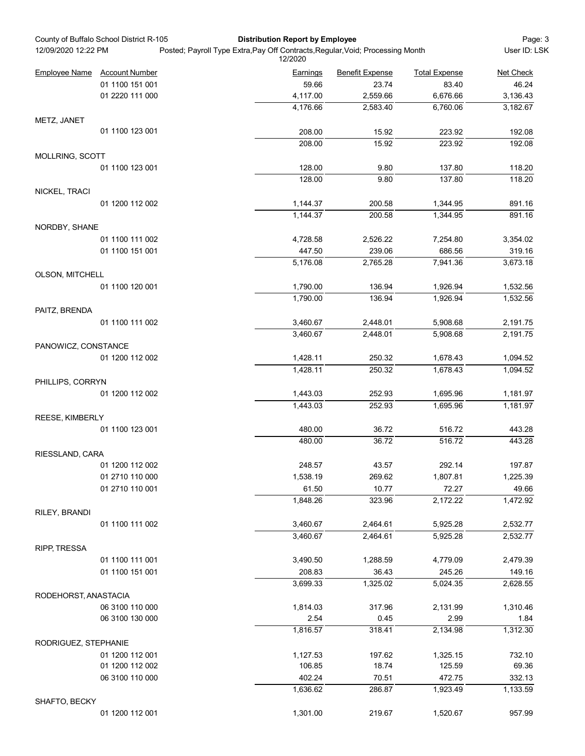| County of Buffalo School District R-105<br><b>Distribution Report by Employee</b><br>Posted; Payroll Type Extra, Pay Off Contracts, Regular, Void; Processing Month<br>12/09/2020 12:22 PM |                              |                     |                        |                      | Page: 3<br>User ID: LSK |
|--------------------------------------------------------------------------------------------------------------------------------------------------------------------------------------------|------------------------------|---------------------|------------------------|----------------------|-------------------------|
|                                                                                                                                                                                            | Employee Name Account Number | 12/2020<br>Earnings | <b>Benefit Expense</b> | <b>Total Expense</b> | Net Check               |
|                                                                                                                                                                                            | 01 1100 151 001              | 59.66               | 23.74                  | 83.40                | 46.24                   |
|                                                                                                                                                                                            | 01 2220 111 000              | 4,117.00            | 2,559.66               | 6,676.66             | 3,136.43                |
|                                                                                                                                                                                            |                              | 4,176.66            | 2,583.40               | 6,760.06             | 3,182.67                |
| METZ, JANET                                                                                                                                                                                | 01 1100 123 001              | 208.00              | 15.92                  | 223.92               | 192.08                  |
|                                                                                                                                                                                            |                              | 208.00              | 15.92                  | 223.92               | 192.08                  |
| MOLLRING, SCOTT                                                                                                                                                                            |                              |                     |                        |                      |                         |
|                                                                                                                                                                                            | 01 1100 123 001              | 128.00              | 9.80                   | 137.80               | 118.20                  |
|                                                                                                                                                                                            |                              | 128.00              | 9.80                   | 137.80               | 118.20                  |
| NICKEL, TRACI                                                                                                                                                                              | 01 1200 112 002              | 1,144.37            | 200.58                 | 1,344.95             | 891.16                  |
|                                                                                                                                                                                            |                              | 1,144.37            | 200.58                 | 1,344.95             | 891.16                  |
| NORDBY, SHANE                                                                                                                                                                              |                              |                     |                        |                      |                         |
|                                                                                                                                                                                            | 01 1100 111 002              | 4,728.58            | 2,526.22               | 7,254.80             | 3,354.02                |
|                                                                                                                                                                                            | 01 1100 151 001              | 447.50              | 239.06                 | 686.56               | 319.16                  |
| OLSON, MITCHELL                                                                                                                                                                            |                              | 5,176.08            | 2,765.28               | 7,941.36             | 3,673.18                |
|                                                                                                                                                                                            | 01 1100 120 001              | 1,790.00            | 136.94                 | 1,926.94             | 1,532.56                |
|                                                                                                                                                                                            |                              | 1,790.00            | 136.94                 | 1,926.94             | 1,532.56                |
| PAITZ, BRENDA                                                                                                                                                                              |                              |                     |                        |                      |                         |
|                                                                                                                                                                                            | 01 1100 111 002              | 3,460.67            | 2,448.01               | 5,908.68             | 2,191.75                |
| PANOWICZ, CONSTANCE                                                                                                                                                                        |                              | 3,460.67            | 2,448.01               | 5,908.68             | 2,191.75                |
|                                                                                                                                                                                            | 01 1200 112 002              | 1,428.11            | 250.32                 | 1,678.43             | 1,094.52                |
|                                                                                                                                                                                            |                              | 1,428.11            | 250.32                 | 1,678.43             | 1,094.52                |
| PHILLIPS, CORRYN                                                                                                                                                                           |                              |                     |                        |                      |                         |
|                                                                                                                                                                                            | 01 1200 112 002              | 1,443.03            | 252.93                 | 1,695.96             | 1,181.97                |
|                                                                                                                                                                                            |                              | 1,443.03            | 252.93                 | 1,695.96             | 1,181.97                |
| REESE, KIMBERLY                                                                                                                                                                            | 01 1100 123 001              | 480.00              | 36.72                  | 516.72               | 443.28                  |
|                                                                                                                                                                                            |                              | 480.00              | 36.72                  | 516.72               | 443.28                  |
| RIESSLAND, CARA                                                                                                                                                                            |                              |                     |                        |                      |                         |
|                                                                                                                                                                                            | 01 1200 112 002              | 248.57              | 43.57                  | 292.14               | 197.87                  |
|                                                                                                                                                                                            | 01 2710 110 000              | 1,538.19            | 269.62                 | 1,807.81             | 1,225.39                |
|                                                                                                                                                                                            | 01 2710 110 001              | 61.50               | 10.77                  | 72.27                | 49.66                   |
|                                                                                                                                                                                            |                              | 1,848.26            | 323.96                 | 2,172.22             | 1,472.92                |
| RILEY, BRANDI                                                                                                                                                                              | 01 1100 111 002              | 3,460.67            | 2,464.61               | 5,925.28             | 2,532.77                |
|                                                                                                                                                                                            |                              | 3,460.67            | 2,464.61               | 5,925.28             | 2,532.77                |
| RIPP, TRESSA                                                                                                                                                                               |                              |                     |                        |                      |                         |
|                                                                                                                                                                                            | 01 1100 111 001              | 3,490.50            | 1,288.59               | 4,779.09             | 2,479.39                |
|                                                                                                                                                                                            | 01 1100 151 001              | 208.83              | 36.43                  | 245.26               | 149.16                  |
|                                                                                                                                                                                            |                              | 3,699.33            | 1,325.02               | 5,024.35             | 2,628.55                |
| RODEHORST, ANASTACIA                                                                                                                                                                       | 06 3100 110 000              | 1,814.03            |                        |                      | 1,310.46                |
|                                                                                                                                                                                            | 06 3100 130 000              | 2.54                | 317.96<br>0.45         | 2,131.99<br>2.99     | 1.84                    |
|                                                                                                                                                                                            |                              | 1,816.57            | 318.41                 | 2,134.98             | 1,312.30                |
| RODRIGUEZ, STEPHANIE                                                                                                                                                                       |                              |                     |                        |                      |                         |
|                                                                                                                                                                                            | 01 1200 112 001              | 1,127.53            | 197.62                 | 1,325.15             | 732.10                  |
|                                                                                                                                                                                            | 01 1200 112 002              | 106.85              | 18.74                  | 125.59               | 69.36                   |
|                                                                                                                                                                                            | 06 3100 110 000              | 402.24              | 70.51                  | 472.75               | 332.13                  |
|                                                                                                                                                                                            |                              | 1,636.62            | 286.87                 | 1,923.49             | 1,133.59                |
| SHAFTO, BECKY                                                                                                                                                                              |                              | 1,301.00            | 219.67                 | 1,520.67             | 957.99                  |